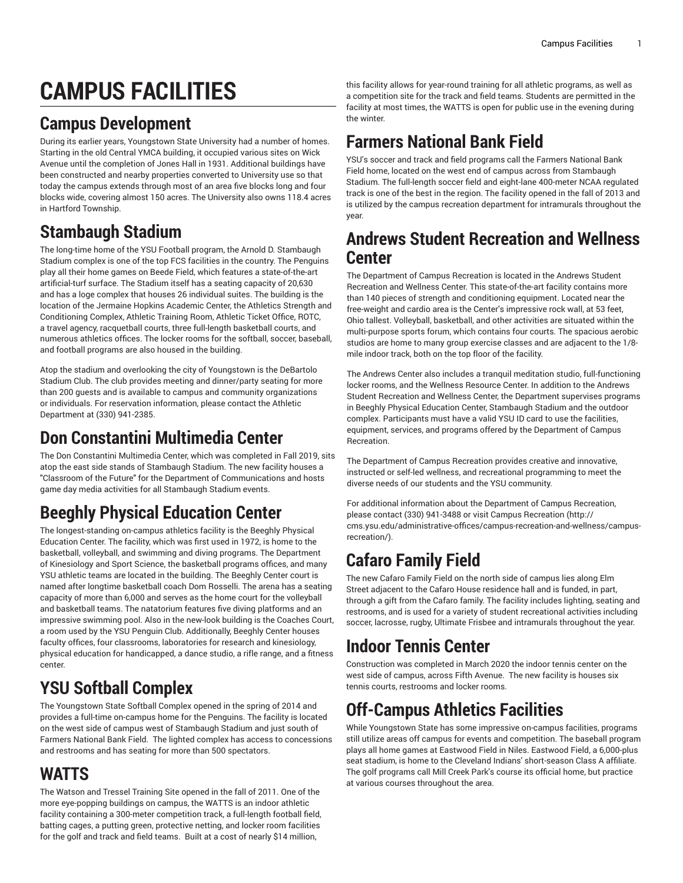# **CAMPUS FACILITIES**

### **Campus Development**

During its earlier years, Youngstown State University had a number of homes. Starting in the old Central YMCA building, it occupied various sites on Wick Avenue until the completion of Jones Hall in 1931. Additional buildings have been constructed and nearby properties converted to University use so that today the campus extends through most of an area five blocks long and four blocks wide, covering almost 150 acres. The University also owns 118.4 acres in Hartford Township.

### **Stambaugh Stadium**

The long-time home of the YSU Football program, the Arnold D. Stambaugh Stadium complex is one of the top FCS facilities in the country. The Penguins play all their home games on Beede Field, which features a state-of-the-art artificial-turf surface. The Stadium itself has a seating capacity of 20,630 and has a loge complex that houses 26 individual suites. The building is the location of the Jermaine Hopkins Academic Center, the Athletics Strength and Conditioning Complex, Athletic Training Room, Athletic Ticket Office, ROTC, a travel agency, racquetball courts, three full-length basketball courts, and numerous athletics offices. The locker rooms for the softball, soccer, baseball, and football programs are also housed in the building.

Atop the stadium and overlooking the city of Youngstown is the DeBartolo Stadium Club. The club provides meeting and dinner/party seating for more than 200 guests and is available to campus and community organizations or individuals. For reservation information, please contact the Athletic Department at (330) 941-2385.

#### **Don Constantini Multimedia Center**

The Don Constantini Multimedia Center, which was completed in Fall 2019, sits atop the east side stands of Stambaugh Stadium. The new facility houses a "Classroom of the Future" for the Department of Communications and hosts game day media activities for all Stambaugh Stadium events.

# **Beeghly Physical Education Center**

The longest-standing on-campus athletics facility is the Beeghly Physical Education Center. The facility, which was first used in 1972, is home to the basketball, volleyball, and swimming and diving programs. The Department of Kinesiology and Sport Science, the basketball programs offices, and many YSU athletic teams are located in the building. The Beeghly Center court is named after longtime basketball coach Dom Rosselli. The arena has a seating capacity of more than 6,000 and serves as the home court for the volleyball and basketball teams. The natatorium features five diving platforms and an impressive swimming pool. Also in the new-look building is the Coaches Court, a room used by the YSU Penguin Club. Additionally, Beeghly Center houses faculty offices, four classrooms, laboratories for research and kinesiology, physical education for handicapped, a dance studio, a rifle range, and a fitness center.

# **YSU Softball Complex**

The Youngstown State Softball Complex opened in the spring of 2014 and provides a full-time on-campus home for the Penguins. The facility is located on the west side of campus west of Stambaugh Stadium and just south of Farmers National Bank Field. The lighted complex has access to concessions and restrooms and has seating for more than 500 spectators.

#### **WATTS**

The Watson and Tressel Training Site opened in the fall of 2011. One of the more eye-popping buildings on campus, the WATTS is an indoor athletic facility containing a 300-meter competition track, a full-length football field, batting cages, a putting green, protective netting, and locker room facilities for the golf and track and field teams. Built at a cost of nearly \$14 million,

this facility allows for year-round training for all athletic programs, as well as a competition site for the track and field teams. Students are permitted in the facility at most times, the WATTS is open for public use in the evening during the winter.

#### **Farmers National Bank Field**

YSU's soccer and track and field programs call the Farmers National Bank Field home, located on the west end of campus across from Stambaugh Stadium. The full-length soccer field and eight-lane 400-meter NCAA regulated track is one of the best in the region. The facility opened in the fall of 2013 and is utilized by the campus recreation department for intramurals throughout the year.

#### **Andrews Student Recreation and Wellness Center**

The Department of Campus Recreation is located in the Andrews Student Recreation and Wellness Center. This state-of-the-art facility contains more than 140 pieces of strength and conditioning equipment. Located near the free-weight and cardio area is the Center's impressive rock wall, at 53 feet, Ohio tallest. Volleyball, basketball, and other activities are situated within the multi-purpose sports forum, which contains four courts. The spacious aerobic studios are home to many group exercise classes and are adjacent to the 1/8 mile indoor track, both on the top floor of the facility.

The Andrews Center also includes a tranquil meditation studio, full-functioning locker rooms, and the Wellness Resource Center. In addition to the Andrews Student Recreation and Wellness Center, the Department supervises programs in Beeghly Physical Education Center, Stambaugh Stadium and the outdoor complex. Participants must have a valid YSU ID card to use the facilities, equipment, services, and programs offered by the Department of Campus Recreation.

The Department of Campus Recreation provides creative and innovative, instructed or self-led wellness, and recreational programming to meet the diverse needs of our students and the YSU community.

For additional information about the Department of Campus Recreation, please contact (330) 941-3488 or visit Campus [Recreation](http://cms.ysu.edu/administrative-offices/campus-recreation-and-wellness/campus-recreation/) ([http://](http://cms.ysu.edu/administrative-offices/campus-recreation-and-wellness/campus-recreation/) [cms.ysu.edu/administrative-offices/campus-recreation-and-wellness/campus](http://cms.ysu.edu/administrative-offices/campus-recreation-and-wellness/campus-recreation/)[recreation/](http://cms.ysu.edu/administrative-offices/campus-recreation-and-wellness/campus-recreation/)).

### **Cafaro Family Field**

The new Cafaro Family Field on the north side of campus lies along Elm Street adjacent to the Cafaro House residence hall and is funded, in part, through a gift from the Cafaro family. The facility includes lighting, seating and restrooms, and is used for a variety of student recreational activities including soccer, lacrosse, rugby, Ultimate Frisbee and intramurals throughout the year.

# **Indoor Tennis Center**

Construction was completed in March 2020 the indoor tennis center on the west side of campus, across Fifth Avenue. The new facility is houses six tennis courts, restrooms and locker rooms.

# **Off-Campus Athletics Facilities**

While Youngstown State has some impressive on-campus facilities, programs still utilize areas off campus for events and competition. The baseball program plays all home games at Eastwood Field in Niles. Eastwood Field, a 6,000-plus seat stadium, is home to the Cleveland Indians' short-season Class A affiliate. The golf programs call Mill Creek Park's course its official home, but practice at various courses throughout the area.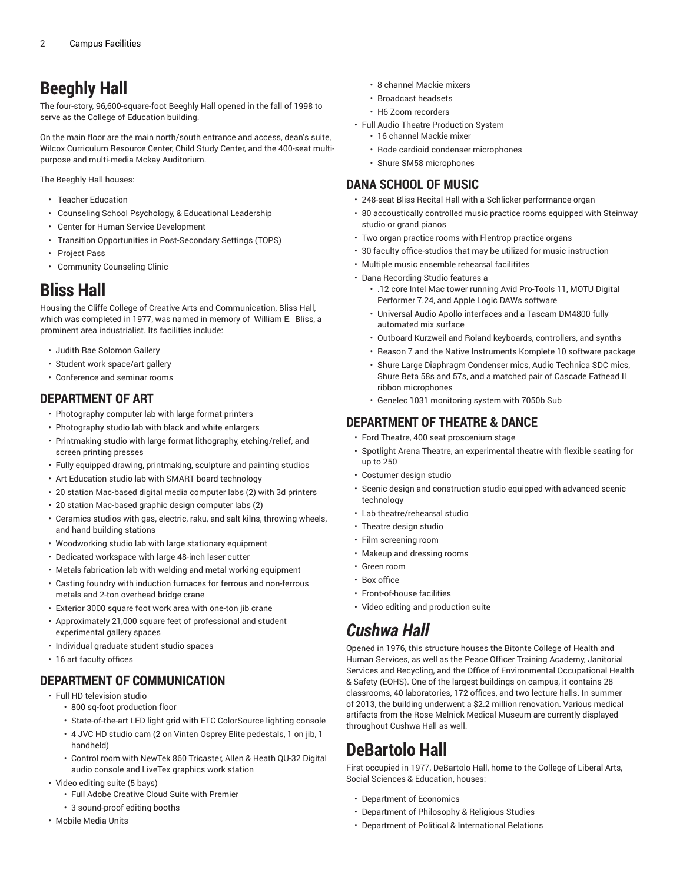### **Beeghly Hall**

The four-story, 96,600-square-foot Beeghly Hall opened in the fall of 1998 to serve as the College of Education building.

On the main floor are the main north/south entrance and access, dean's suite, Wilcox Curriculum Resource Center, Child Study Center, and the 400-seat multipurpose and multi-media Mckay Auditorium.

The Beeghly Hall houses:

- Teacher Education
- Counseling School Psychology, & Educational Leadership
- Center for Human Service Development
- Transition Opportunities in Post-Secondary Settings (TOPS)
- Project Pass
- Community Counseling Clinic

#### **Bliss Hall**

Housing the Cliffe College of Creative Arts and Communication, Bliss Hall, which was completed in 1977, was named in memory of William E. Bliss, a prominent area industrialist. Its facilities include:

- Judith Rae Solomon Gallery
- Student work space/art gallery
- Conference and seminar rooms

#### **DEPARTMENT OF ART**

- Photography computer lab with large format printers
- Photography studio lab with black and white enlargers
- Printmaking studio with large format lithography, etching/relief, and screen printing presses
- Fully equipped drawing, printmaking, sculpture and painting studios
- Art Education studio lab with SMART board technology
- 20 station Mac-based digital media computer labs (2) with 3d printers
- 20 station Mac-based graphic design computer labs (2)
- Ceramics studios with gas, electric, raku, and salt kilns, throwing wheels, and hand building stations
- Woodworking studio lab with large stationary equipment
- Dedicated workspace with large 48-inch laser cutter
- Metals fabrication lab with welding and metal working equipment
- Casting foundry with induction furnaces for ferrous and non-ferrous metals and 2-ton overhead bridge crane
- Exterior 3000 square foot work area with one-ton jib crane
- Approximately 21,000 square feet of professional and student experimental gallery spaces
- Individual graduate student studio spaces
- 16 art faculty offices

#### **DEPARTMENT OF COMMUNICATION**

- Full HD television studio
	- 800 sq-foot production floor
	- State-of-the-art LED light grid with ETC ColorSource lighting console
	- 4 JVC HD studio cam (2 on Vinten Osprey Elite pedestals, 1 on jib, 1 handheld)
	- Control room with NewTek 860 Tricaster, Allen & Heath QU-32 Digital audio console and LiveTex graphics work station
- Video editing suite (5 bays)
	- Full Adobe Creative Cloud Suite with Premier
	- 3 sound-proof editing booths
- Mobile Media Units
- 8 channel Mackie mixers
- Broadcast headsets
- H6 Zoom recorders
- Full Audio Theatre Production System
	- 16 channel Mackie mixer
	- Rode cardioid condenser microphones
	- Shure SM58 microphones

#### **DANA SCHOOL OF MUSIC**

- 248-seat Bliss Recital Hall with a Schlicker performance organ
- 80 accoustically controlled music practice rooms equipped with Steinway studio or grand pianos
- Two organ practice rooms with Flentrop practice organs
- 30 faculty office-studios that may be utilized for music instruction
- Multiple music ensemble rehearsal facilitites
- Dana Recording Studio features a
	- .12 core Intel Mac tower running Avid Pro-Tools 11, MOTU Digital Performer 7.24, and Apple Logic DAWs software
	- Universal Audio Apollo interfaces and a Tascam DM4800 fully automated mix surface
	- Outboard Kurzweil and Roland keyboards, controllers, and synths
	- Reason 7 and the Native Instruments Komplete 10 software package
	- Shure Large Diaphragm Condenser mics, Audio Technica SDC mics, Shure Beta 58s and 57s, and a matched pair of Cascade Fathead II ribbon microphones
	- Genelec 1031 monitoring system with 7050b Sub

#### **DEPARTMENT OF THEATRE & DANCE**

- Ford Theatre, 400 seat proscenium stage
- Spotlight Arena Theatre, an experimental theatre with flexible seating for up to 250
- Costumer design studio
- Scenic design and construction studio equipped with advanced scenic technology
- Lab theatre/rehearsal studio
- Theatre design studio
- Film screening room
- Makeup and dressing rooms
- Green room
- Box office
- Front-of-house facilities
- Video editing and production suite

#### *Cushwa Hall*

Opened in 1976, this structure houses the Bitonte College of Health and Human Services, as well as the Peace Officer Training Academy, Janitorial Services and Recycling, and the Office of Environmental Occupational Health & Safety (EOHS). One of the largest buildings on campus, it contains 28 classrooms, 40 laboratories, 172 offices, and two lecture halls. In summer of 2013, the building underwent a \$2.2 million renovation. Various medical artifacts from the Rose Melnick Medical Museum are currently displayed throughout Cushwa Hall as well.

#### **DeBartolo Hall**

First occupied in 1977, DeBartolo Hall, home to the College of Liberal Arts, Social Sciences & Education, houses:

- Department of Economics
- Department of Philosophy & Religious Studies
- Department of Political & International Relations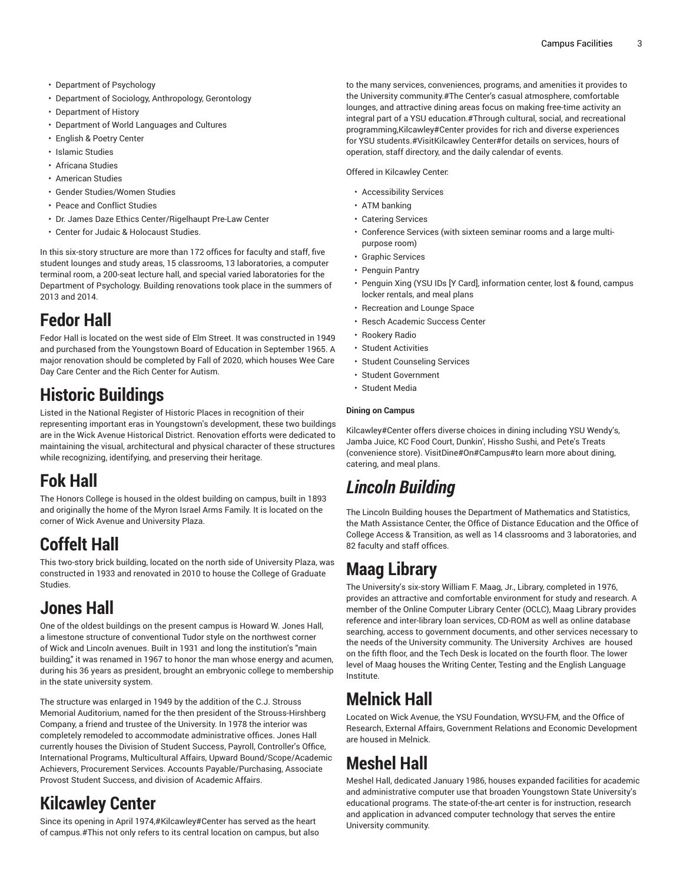- Department of Psychology
- Department of Sociology, Anthropology, Gerontology
- Department of History
- Department of World Languages and Cultures
- English & Poetry Center
- Islamic Studies
- Africana Studies
- American Studies
- Gender Studies/Women Studies
- Peace and Conflict Studies
- Dr. James Daze Ethics Center/Rigelhaupt Pre-Law Center
- Center for Judaic & Holocaust Studies.

In this six-story structure are more than 172 offices for faculty and staff, five student lounges and study areas, 15 classrooms, 13 laboratories, a computer terminal room, a 200-seat lecture hall, and special varied laboratories for the Department of Psychology. Building renovations took place in the summers of 2013 and 2014.

#### **Fedor Hall**

Fedor Hall is located on the west side of Elm Street. It was constructed in 1949 and purchased from the Youngstown Board of Education in September 1965. A major renovation should be completed by Fall of 2020, which houses Wee Care Day Care Center and the Rich Center for Autism.

#### **Historic Buildings**

Listed in the National Register of Historic Places in recognition of their representing important eras in Youngstown's development, these two buildings are in the Wick Avenue Historical District. Renovation efforts were dedicated to maintaining the visual, architectural and physical character of these structures while recognizing, identifying, and preserving their heritage.

# **Fok Hall**

The Honors College is housed in the oldest building on campus, built in 1893 and originally the home of the Myron Israel Arms Family. It is located on the corner of Wick Avenue and University Plaza.

#### **Coffelt Hall**

This two-story brick building, located on the north side of University Plaza, was constructed in 1933 and renovated in 2010 to house the College of Graduate **Studies** 

#### **Jones Hall**

One of the oldest buildings on the present campus is Howard W. Jones Hall, a limestone structure of conventional Tudor style on the northwest corner of Wick and Lincoln avenues. Built in 1931 and long the institution's "main building," it was renamed in 1967 to honor the man whose energy and acumen, during his 36 years as president, brought an embryonic college to membership in the state university system.

The structure was enlarged in 1949 by the addition of the C.J. Strouss Memorial Auditorium, named for the then president of the Strouss-Hirshberg Company, a friend and trustee of the University. In 1978 the interior was completely remodeled to accommodate administrative offices. Jones Hall currently houses the Division of Student Success, Payroll, Controller's Office, International Programs, Multicultural Affairs, Upward Bound/Scope/Academic Achievers, Procurement Services. Accounts Payable/Purchasing, Associate Provost Student Success, and division of Academic Affairs.

### **Kilcawley Center**

Since its opening in April 1974,#Kilcawley#Center has served as the heart of campus.#This not only refers to its central location on campus, but also to the many services, conveniences, programs, and amenities it provides to the University community.#The Center's casual atmosphere, comfortable lounges, and attractive dining areas focus on making free-time activity an integral part of a YSU education.#Through cultural, social, and recreational programming,Kilcawley#Center provides for rich and diverse experiences for YSU students.#VisitKilcawley Center#for details on services, hours of operation, staff directory, and the daily calendar of events.

Offered in Kilcawley Center:

- Accessibility Services
- ATM banking
- Catering Services
- Conference Services (with sixteen seminar rooms and a large multipurpose room)
- Graphic Services
- Penguin Pantry
- Penguin Xing (YSU IDs [Y Card], information center, lost & found, campus locker rentals, and meal plans
- Recreation and Lounge Space
- Resch Academic Success Center
- Rookery Radio
- Student Activities
- Student Counseling Services
- Student Government
- Student Media

#### **Dining on Campus**

Kilcawley#Center offers diverse choices in dining including YSU Wendy's, Jamba Juice, KC Food Court, Dunkin', Hissho Sushi, and Pete's Treats (convenience store). VisitDine#On#Campus#to learn more about dining, catering, and meal plans.

#### *Lincoln Building*

The Lincoln Building houses the Department of Mathematics and Statistics, the Math Assistance Center, the Office of Distance Education and the Office of College Access & Transition, as well as 14 classrooms and 3 laboratories, and 82 faculty and staff offices.

#### **Maag Library**

The University's six-story William F. Maag, Jr., Library, completed in 1976, provides an attractive and comfortable environment for study and research. A member of the Online Computer Library Center (OCLC), Maag Library provides reference and inter-library loan services, CD-ROM as well as online database searching, access to government documents, and other services necessary to the needs of the University community. The University Archives are housed on the fifth floor, and the Tech Desk is located on the fourth floor. The lower level of Maag houses the Writing Center, Testing and the English Language Institute.

### **Melnick Hall**

Located on Wick Avenue, the YSU Foundation, WYSU-FM, and the Office of Research, External Affairs, Government Relations and Economic Development are housed in Melnick.

#### **Meshel Hall**

Meshel Hall, dedicated January 1986, houses expanded facilities for academic and administrative computer use that broaden Youngstown State University's educational programs. The state-of-the-art center is for instruction, research and application in advanced computer technology that serves the entire University community.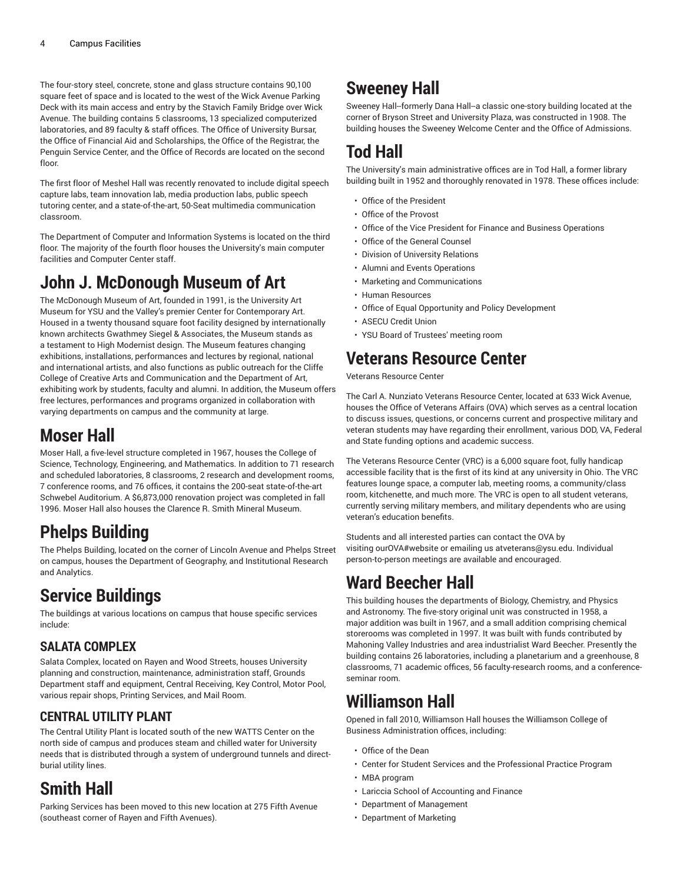The four-story steel, concrete, stone and glass structure contains 90,100 square feet of space and is located to the west of the Wick Avenue Parking Deck with its main access and entry by the Stavich Family Bridge over Wick Avenue. The building contains 5 classrooms, 13 specialized computerized laboratories, and 89 faculty & staff offices. The Office of University Bursar, the Office of Financial Aid and Scholarships, the Office of the Registrar, the Penguin Service Center, and the Office of Records are located on the second floor.

The first floor of Meshel Hall was recently renovated to include digital speech capture labs, team innovation lab, media production labs, public speech tutoring center, and a state-of-the-art, 50-Seat multimedia communication classroom.

The Department of Computer and Information Systems is located on the third floor. The majority of the fourth floor houses the University's main computer facilities and Computer Center staff.

#### **John J. McDonough Museum of Art**

The McDonough Museum of Art, founded in 1991, is the University Art Museum for YSU and the Valley's premier Center for Contemporary Art. Housed in a twenty thousand square foot facility designed by internationally known architects Gwathmey Siegel & Associates, the Museum stands as a testament to High Modernist design. The Museum features changing exhibitions, installations, performances and lectures by regional, national and international artists, and also functions as public outreach for the Cliffe College of Creative Arts and Communication and the Department of Art, exhibiting work by students, faculty and alumni. In addition, the Museum offers free lectures, performances and programs organized in collaboration with varying departments on campus and the community at large.

#### **Moser Hall**

Moser Hall, a five-level structure completed in 1967, houses the College of Science, Technology, Engineering, and Mathematics. In addition to 71 research and scheduled laboratories, 8 classrooms, 2 research and development rooms, 7 conference rooms, and 76 offices, it contains the 200-seat state-of-the-art Schwebel Auditorium. A \$6,873,000 renovation project was completed in fall 1996. Moser Hall also houses the Clarence R. Smith Mineral Museum.

#### **Phelps Building**

The Phelps Building, located on the corner of Lincoln Avenue and Phelps Street on campus, houses the Department of Geography, and Institutional Research and Analytics.

#### **Service Buildings**

The buildings at various locations on campus that house specific services include:

#### **SALATA COMPLEX**

Salata Complex, located on Rayen and Wood Streets, houses University planning and construction, maintenance, administration staff, Grounds Department staff and equipment, Central Receiving, Key Control, Motor Pool, various repair shops, Printing Services, and Mail Room.

#### **CENTRAL UTILITY PLANT**

The Central Utility Plant is located south of the new WATTS Center on the north side of campus and produces steam and chilled water for University needs that is distributed through a system of underground tunnels and directburial utility lines.

#### **Smith Hall**

Parking Services has been moved to this new location at 275 Fifth Avenue (southeast corner of Rayen and Fifth Avenues).

### **Sweeney Hall**

Sweeney Hall--formerly Dana Hall--a classic one-story building located at the corner of Bryson Street and University Plaza, was constructed in 1908. The building houses the Sweeney Welcome Center and the Office of Admissions.

### **Tod Hall**

The University's main administrative offices are in Tod Hall, a former library building built in 1952 and thoroughly renovated in 1978. These offices include:

- Office of the President
- Office of the Provost
- Office of the Vice President for Finance and Business Operations
- Office of the General Counsel
- Division of University Relations
- Alumni and Events Operations
- Marketing and Communications
- Human Resources
- Office of Equal Opportunity and Policy Development
- ASECU Credit Union
- YSU Board of Trustees' meeting room

#### **Veterans Resource Center**

#### Veterans Resource Center

The Carl A. Nunziato Veterans Resource Center, located at 633 Wick Avenue, houses the Office of Veterans Affairs (OVA) which serves as a central location to discuss issues, questions, or concerns current and prospective military and veteran students may have regarding their enrollment, various DOD, VA, Federal and State funding options and academic success.

The Veterans Resource Center (VRC) is a 6,000 square foot, fully handicap accessible facility that is the first of its kind at any university in Ohio. The VRC features lounge space, a computer lab, meeting rooms, a community/class room, kitchenette, and much more. The VRC is open to all student veterans, currently serving military members, and military dependents who are using veteran's education benefits.

Students and all interested parties can contact the OVA by visiting ourOVA#website or emailing us atveterans@ysu.edu. Individual person-to-person meetings are available and encouraged.

#### **Ward Beecher Hall**

This building houses the departments of Biology, Chemistry, and Physics and Astronomy. The five-story original unit was constructed in 1958, a major addition was built in 1967, and a small addition comprising chemical storerooms was completed in 1997. It was built with funds contributed by Mahoning Valley Industries and area industrialist Ward Beecher. Presently the building contains 26 laboratories, including a planetarium and a greenhouse, 8 classrooms, 71 academic offices, 56 faculty-research rooms, and a conferenceseminar room.

#### **Williamson Hall**

Opened in fall 2010, Williamson Hall houses the Williamson College of Business Administration offices, including:

- Office of the Dean
- Center for Student Services and the Professional Practice Program
- MBA program
- Lariccia School of Accounting and Finance
- Department of Management
- Department of Marketing